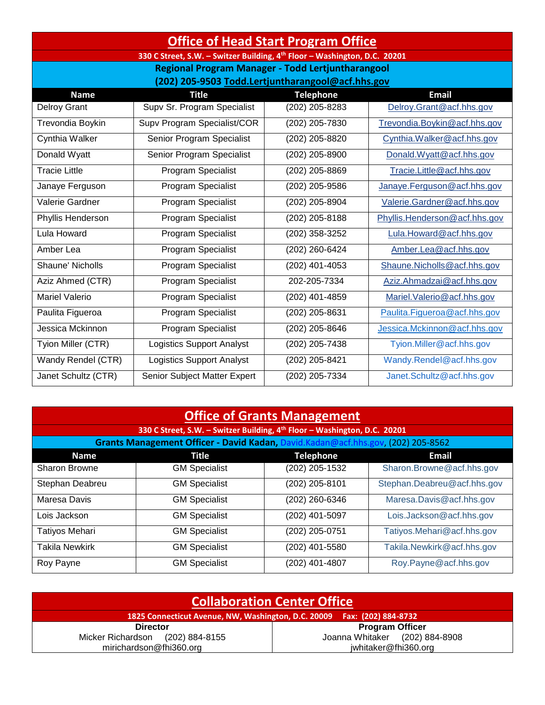| <b>Office of Head Start Program Office</b>                                            |                                  |                  |                               |  |  |  |  |
|---------------------------------------------------------------------------------------|----------------------------------|------------------|-------------------------------|--|--|--|--|
| 330 C Street, S.W. - Switzer Building, 4 <sup>th</sup> Floor - Washington, D.C. 20201 |                                  |                  |                               |  |  |  |  |
| Regional Program Manager - Todd Lertjuntharangool                                     |                                  |                  |                               |  |  |  |  |
| (202) 205-9503 Todd.Lertjuntharangool@acf.hhs.gov                                     |                                  |                  |                               |  |  |  |  |
| <b>Name</b>                                                                           | <b>Title</b>                     | <b>Telephone</b> | <b>Email</b>                  |  |  |  |  |
| <b>Delroy Grant</b>                                                                   | Supv Sr. Program Specialist      | (202) 205-8283   | Delroy.Grant@acf.hhs.gov      |  |  |  |  |
| Trevondia Boykin                                                                      | Supv Program Specialist/COR      | (202) 205-7830   | Trevondia.Boykin@acf.hhs.gov  |  |  |  |  |
| Cynthia Walker                                                                        | Senior Program Specialist        | (202) 205-8820   | Cynthia.Walker@acf.hhs.gov    |  |  |  |  |
| Donald Wyatt                                                                          | Senior Program Specialist        | (202) 205-8900   | Donald.Wyatt@acf.hhs.gov      |  |  |  |  |
| <b>Tracie Little</b>                                                                  | Program Specialist               | (202) 205-8869   | Tracie.Little@acf.hhs.gov     |  |  |  |  |
| Janaye Ferguson                                                                       | Program Specialist               | (202) 205-9586   | Janaye.Ferguson@acf.hhs.gov   |  |  |  |  |
| Valerie Gardner                                                                       | Program Specialist               | (202) 205-8904   | Valerie.Gardner@acf.hhs.gov   |  |  |  |  |
| Phyllis Henderson                                                                     | Program Specialist               | (202) 205-8188   | Phyllis.Henderson@acf.hhs.gov |  |  |  |  |
| Lula Howard                                                                           | Program Specialist               | (202) 358-3252   | Lula.Howard@acf.hhs.gov       |  |  |  |  |
| Amber Lea                                                                             | Program Specialist               | $(202)$ 260-6424 | Amber.Lea@acf.hhs.gov         |  |  |  |  |
| Shaune' Nicholls                                                                      | Program Specialist               | (202) 401-4053   | Shaune.Nicholls@acf.hhs.gov   |  |  |  |  |
| Aziz Ahmed (CTR)                                                                      | Program Specialist               | 202-205-7334     | Aziz.Ahmadzai@acf.hhs.gov     |  |  |  |  |
| <b>Mariel Valerio</b>                                                                 | Program Specialist               | (202) 401-4859   | Mariel.Valerio@acf.hhs.gov    |  |  |  |  |
| Paulita Figueroa                                                                      | Program Specialist               | (202) 205-8631   | Paulita.Figueroa@acf.hhs.gov  |  |  |  |  |
| Jessica Mckinnon                                                                      | Program Specialist               | (202) 205-8646   | Jessica.Mckinnon@acf.hhs.gov  |  |  |  |  |
| Tyion Miller (CTR)                                                                    | <b>Logistics Support Analyst</b> | $(202)$ 205-7438 | Tyion.Miller@acf.hhs.gov      |  |  |  |  |
| Wandy Rendel (CTR)                                                                    | <b>Logistics Support Analyst</b> | (202) 205-8421   | Wandy.Rendel@acf.hhs.gov      |  |  |  |  |
| Janet Schultz (CTR)                                                                   | Senior Subject Matter Expert     | (202) 205-7334   | Janet.Schultz@acf.hhs.gov     |  |  |  |  |

| <b>Office of Grants Management</b> |
|------------------------------------|
|------------------------------------|

| 330 C Street, S.W. - Switzer Building, 4 <sup>th</sup> Floor - Washington, D.C. 20201 |                      |                  |                             |  |  |  |
|---------------------------------------------------------------------------------------|----------------------|------------------|-----------------------------|--|--|--|
| Grants Management Officer - David Kadan, David.Kadan@acf.hhs.gov, (202) 205-8562      |                      |                  |                             |  |  |  |
| <b>Name</b>                                                                           | <b>Title</b>         | <b>Telephone</b> | <b>Email</b>                |  |  |  |
| <b>Sharon Browne</b>                                                                  | <b>GM Specialist</b> | (202) 205-1532   | Sharon.Browne@acf.hhs.gov   |  |  |  |
| Stephan Deabreu                                                                       | <b>GM Specialist</b> | (202) 205-8101   | Stephan.Deabreu@acf.hhs.gov |  |  |  |
| Maresa Davis                                                                          | <b>GM Specialist</b> | (202) 260-6346   | Maresa.Davis@acf.hhs.gov    |  |  |  |
| Lois Jackson                                                                          | <b>GM Specialist</b> | (202) 401-5097   | Lois.Jackson@acf.hhs.gov    |  |  |  |
| <b>Tatiyos Mehari</b>                                                                 | <b>GM Specialist</b> | (202) 205-0751   | Tatiyos.Mehari@acf.hhs.gov  |  |  |  |
| <b>Takila Newkirk</b>                                                                 | <b>GM Specialist</b> | (202) 401-5580   | Takila.Newkirk@acf.hhs.gov  |  |  |  |
| Roy Payne                                                                             | <b>GM Specialist</b> | (202) 401-4807   | Roy.Payne@acf.hhs.gov       |  |  |  |

| <b>Collaboration Center Office</b>                                       |                                |  |  |  |
|--------------------------------------------------------------------------|--------------------------------|--|--|--|
| 1825 Connecticut Avenue, NW, Washington, D.C. 20009  Fax: (202) 884-8732 |                                |  |  |  |
| <b>Director</b>                                                          | <b>Program Officer</b>         |  |  |  |
| Micker Richardson (202) 884-8155                                         | Joanna Whitaker (202) 884-8908 |  |  |  |
| mirichardson@fhi360.org                                                  | jwhitaker@fhi360.org           |  |  |  |